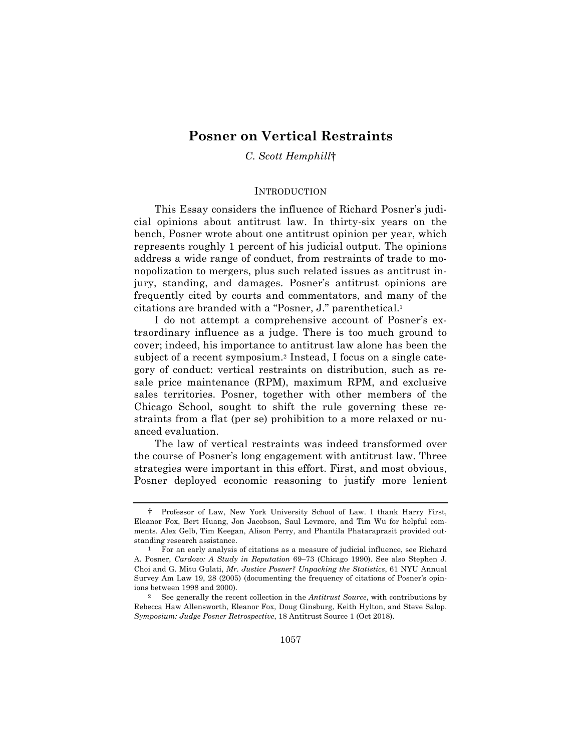# **Posner on Vertical Restraints**

*C. Scott Hemphill*†

#### **INTRODUCTION**

This Essay considers the influence of Richard Posner's judicial opinions about antitrust law. In thirty-six years on the bench, Posner wrote about one antitrust opinion per year, which represents roughly 1 percent of his judicial output. The opinions address a wide range of conduct, from restraints of trade to monopolization to mergers, plus such related issues as antitrust injury, standing, and damages. Posner's antitrust opinions are frequently cited by courts and commentators, and many of the citations are branded with a "Posner, J." parenthetical.1

I do not attempt a comprehensive account of Posner's extraordinary influence as a judge. There is too much ground to cover; indeed, his importance to antitrust law alone has been the subject of a recent symposium.2 Instead, I focus on a single category of conduct: vertical restraints on distribution, such as resale price maintenance (RPM), maximum RPM, and exclusive sales territories. Posner, together with other members of the Chicago School, sought to shift the rule governing these restraints from a flat (per se) prohibition to a more relaxed or nuanced evaluation.

The law of vertical restraints was indeed transformed over the course of Posner's long engagement with antitrust law. Three strategies were important in this effort. First, and most obvious, Posner deployed economic reasoning to justify more lenient

<sup>†</sup> Professor of Law, New York University School of Law. I thank Harry First, Eleanor Fox, Bert Huang, Jon Jacobson, Saul Levmore, and Tim Wu for helpful comments. Alex Gelb, Tim Keegan, Alison Perry, and Phantila Phataraprasit provided outstanding research assistance.

<sup>1</sup> For an early analysis of citations as a measure of judicial influence, see Richard A. Posner, *Cardozo: A Study in Reputation* 69–73 (Chicago 1990). See also Stephen J. Choi and G. Mitu Gulati, *Mr. Justice Posner? Unpacking the Statistics*, 61 NYU Annual Survey Am Law 19, 28 (2005) (documenting the frequency of citations of Posner's opinions between 1998 and 2000).

<sup>2</sup> See generally the recent collection in the *Antitrust Source*, with contributions by Rebecca Haw Allensworth, Eleanor Fox, Doug Ginsburg, Keith Hylton, and Steve Salop. *Symposium: Judge Posner Retrospective*, 18 Antitrust Source 1 (Oct 2018).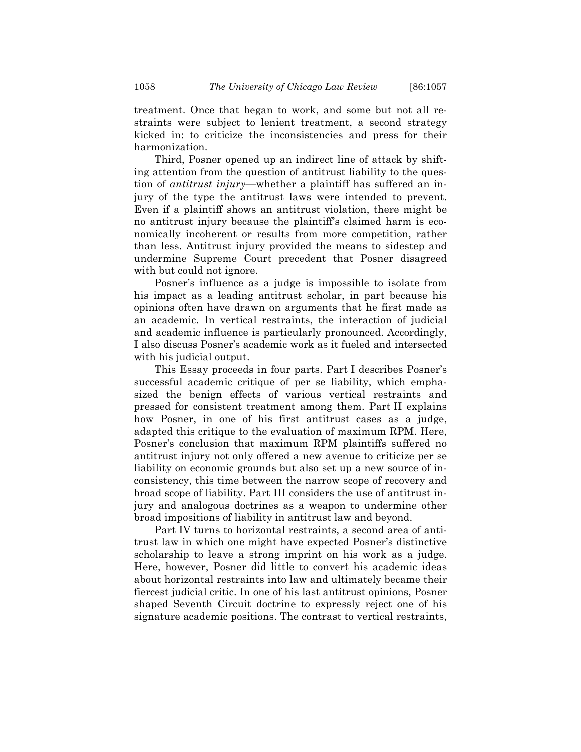treatment. Once that began to work, and some but not all restraints were subject to lenient treatment, a second strategy kicked in: to criticize the inconsistencies and press for their harmonization.

Third, Posner opened up an indirect line of attack by shifting attention from the question of antitrust liability to the question of *antitrust injury*—whether a plaintiff has suffered an injury of the type the antitrust laws were intended to prevent. Even if a plaintiff shows an antitrust violation, there might be no antitrust injury because the plaintiff's claimed harm is economically incoherent or results from more competition, rather than less. Antitrust injury provided the means to sidestep and undermine Supreme Court precedent that Posner disagreed with but could not ignore.

Posner's influence as a judge is impossible to isolate from his impact as a leading antitrust scholar, in part because his opinions often have drawn on arguments that he first made as an academic. In vertical restraints, the interaction of judicial and academic influence is particularly pronounced. Accordingly, I also discuss Posner's academic work as it fueled and intersected with his judicial output.

This Essay proceeds in four parts. Part I describes Posner's successful academic critique of per se liability, which emphasized the benign effects of various vertical restraints and pressed for consistent treatment among them. Part II explains how Posner, in one of his first antitrust cases as a judge, adapted this critique to the evaluation of maximum RPM. Here, Posner's conclusion that maximum RPM plaintiffs suffered no antitrust injury not only offered a new avenue to criticize per se liability on economic grounds but also set up a new source of inconsistency, this time between the narrow scope of recovery and broad scope of liability. Part III considers the use of antitrust injury and analogous doctrines as a weapon to undermine other broad impositions of liability in antitrust law and beyond.

Part IV turns to horizontal restraints, a second area of antitrust law in which one might have expected Posner's distinctive scholarship to leave a strong imprint on his work as a judge. Here, however, Posner did little to convert his academic ideas about horizontal restraints into law and ultimately became their fiercest judicial critic. In one of his last antitrust opinions, Posner shaped Seventh Circuit doctrine to expressly reject one of his signature academic positions. The contrast to vertical restraints,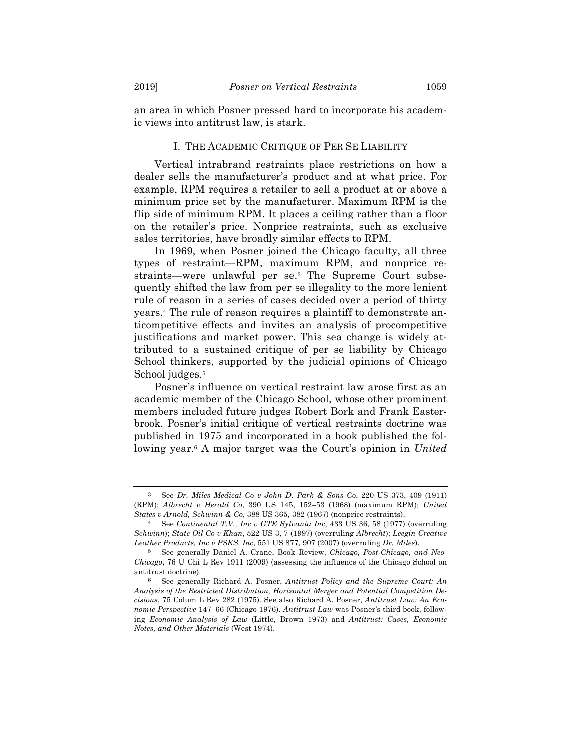an area in which Posner pressed hard to incorporate his academic views into antitrust law, is stark.

#### I. THE ACADEMIC CRITIQUE OF PER SE LIABILITY

Vertical intrabrand restraints place restrictions on how a dealer sells the manufacturer's product and at what price. For example, RPM requires a retailer to sell a product at or above a minimum price set by the manufacturer. Maximum RPM is the flip side of minimum RPM. It places a ceiling rather than a floor on the retailer's price. Nonprice restraints, such as exclusive sales territories, have broadly similar effects to RPM.

In 1969, when Posner joined the Chicago faculty, all three types of restraint—RPM, maximum RPM, and nonprice restraints—were unlawful per se.3 The Supreme Court subsequently shifted the law from per se illegality to the more lenient rule of reason in a series of cases decided over a period of thirty years.4 The rule of reason requires a plaintiff to demonstrate anticompetitive effects and invites an analysis of procompetitive justifications and market power. This sea change is widely attributed to a sustained critique of per se liability by Chicago School thinkers, supported by the judicial opinions of Chicago School judges.<sup>5</sup>

Posner's influence on vertical restraint law arose first as an academic member of the Chicago School, whose other prominent members included future judges Robert Bork and Frank Easterbrook. Posner's initial critique of vertical restraints doctrine was published in 1975 and incorporated in a book published the following year.6 A major target was the Court's opinion in *United* 

<sup>3</sup> See *Dr. Miles Medical Co v John D. Park & Sons Co*, 220 US 373, 409 (1911) (RPM); *Albrecht v Herald Co*, 390 US 145, 152–53 (1968) (maximum RPM); *United States v Arnold, Schwinn & Co*, 388 US 365, 382 (1967) (nonprice restraints).

<sup>4</sup> See *Continental T.V., Inc v GTE Sylvania Inc*, 433 US 36, 58 (1977) (overruling *Schwinn*); *State Oil Co v Khan*, 522 US 3, 7 (1997) (overruling *Albrecht*); *Leegin Creative Leather Products, Inc v PSKS, Inc*, 551 US 877, 907 (2007) (overruling *Dr. Miles*).

<sup>5</sup> See generally Daniel A. Crane, Book Review, *Chicago, Post-Chicago, and Neo-Chicago*, 76 U Chi L Rev 1911 (2009) (assessing the influence of the Chicago School on antitrust doctrine).

<sup>6</sup> See generally Richard A. Posner, *Antitrust Policy and the Supreme Court: An Analysis of the Restricted Distribution, Horizontal Merger and Potential Competition Decisions*, 75 Colum L Rev 282 (1975). See also Richard A. Posner, *Antitrust Law: An Economic Perspective* 147–66 (Chicago 1976). *Antitrust Law* was Posner's third book, following *Economic Analysis of Law* (Little, Brown 1973) and *Antitrust: Cases, Economic Notes, and Other Materials* (West 1974).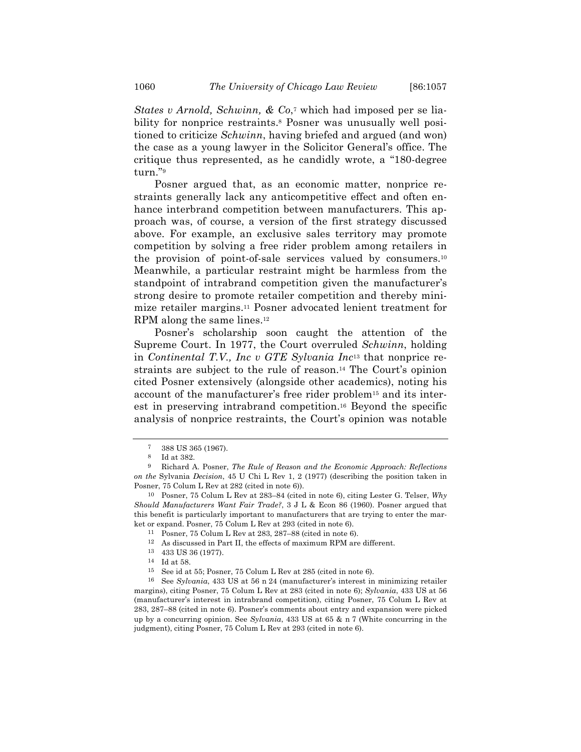*States v Arnold, Schwinn, & Co*,<sup>7</sup> which had imposed per se liability for nonprice restraints.8 Posner was unusually well positioned to criticize *Schwinn*, having briefed and argued (and won) the case as a young lawyer in the Solicitor General's office. The critique thus represented, as he candidly wrote, a "180-degree turn."9

Posner argued that, as an economic matter, nonprice restraints generally lack any anticompetitive effect and often enhance interbrand competition between manufacturers. This approach was, of course, a version of the first strategy discussed above. For example, an exclusive sales territory may promote competition by solving a free rider problem among retailers in the provision of point-of-sale services valued by consumers.10 Meanwhile, a particular restraint might be harmless from the standpoint of intrabrand competition given the manufacturer's strong desire to promote retailer competition and thereby minimize retailer margins.11 Posner advocated lenient treatment for RPM along the same lines.<sup>12</sup>

Posner's scholarship soon caught the attention of the Supreme Court. In 1977, the Court overruled *Schwinn*, holding in *Continental T.V., Inc v GTE Sylvania Inc*<sup>13</sup> that nonprice restraints are subject to the rule of reason.14 The Court's opinion cited Posner extensively (alongside other academics), noting his account of the manufacturer's free rider problem15 and its interest in preserving intrabrand competition.16 Beyond the specific analysis of nonprice restraints, the Court's opinion was notable

<sup>7</sup> 388 US 365 (1967).

<sup>8</sup> Id at 382.

<sup>9</sup> Richard A. Posner, *The Rule of Reason and the Economic Approach: Reflections on the* Sylvania *Decision*, 45 U Chi L Rev 1, 2 (1977) (describing the position taken in Posner, 75 Colum L Rev at 282 (cited in note 6)).

<sup>10</sup> Posner, 75 Colum L Rev at 283–84 (cited in note 6), citing Lester G. Telser, *Why Should Manufacturers Want Fair Trade?*, 3 J L & Econ 86 (1960). Posner argued that this benefit is particularly important to manufacturers that are trying to enter the market or expand. Posner, 75 Colum L Rev at 293 (cited in note 6).

<sup>11</sup> Posner, 75 Colum L Rev at 283, 287–88 (cited in note 6).

<sup>12</sup> As discussed in Part II, the effects of maximum RPM are different.

<sup>13</sup> 433 US 36 (1977).

<sup>14</sup> Id at 58.

<sup>15</sup> See id at 55; Posner, 75 Colum L Rev at 285 (cited in note 6).

<sup>16</sup> See *Sylvania*, 433 US at 56 n 24 (manufacturer's interest in minimizing retailer margins), citing Posner, 75 Colum L Rev at 283 (cited in note 6); *Sylvania*, 433 US at 56 (manufacturer's interest in intrabrand competition), citing Posner, 75 Colum L Rev at 283, 287–88 (cited in note 6). Posner's comments about entry and expansion were picked up by a concurring opinion. See *Sylvania*, 433 US at 65 & n 7 (White concurring in the judgment), citing Posner, 75 Colum L Rev at 293 (cited in note 6).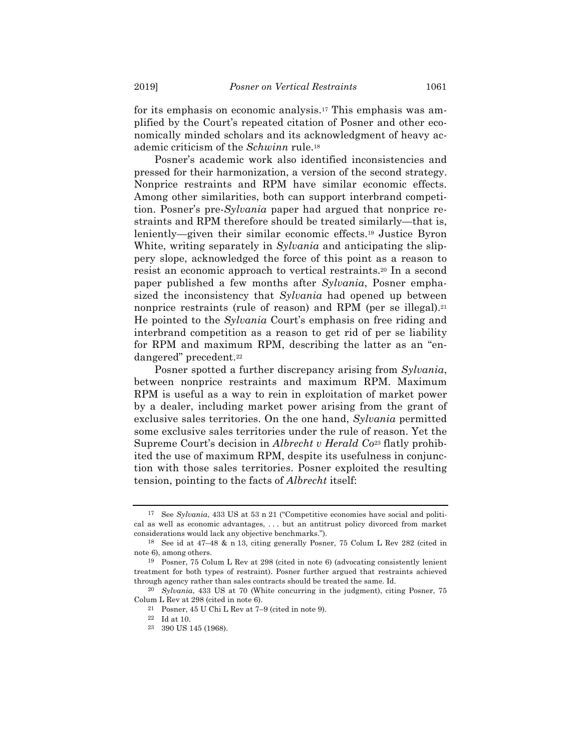for its emphasis on economic analysis.17 This emphasis was amplified by the Court's repeated citation of Posner and other economically minded scholars and its acknowledgment of heavy academic criticism of the *Schwinn* rule.18

Posner's academic work also identified inconsistencies and pressed for their harmonization, a version of the second strategy. Nonprice restraints and RPM have similar economic effects. Among other similarities, both can support interbrand competition. Posner's pre-*Sylvania* paper had argued that nonprice restraints and RPM therefore should be treated similarly—that is, leniently—given their similar economic effects.19 Justice Byron White, writing separately in *Sylvania* and anticipating the slippery slope, acknowledged the force of this point as a reason to resist an economic approach to vertical restraints.20 In a second paper published a few months after *Sylvania*, Posner emphasized the inconsistency that *Sylvania* had opened up between nonprice restraints (rule of reason) and RPM (per se illegal).<sup>21</sup> He pointed to the *Sylvania* Court's emphasis on free riding and interbrand competition as a reason to get rid of per se liability for RPM and maximum RPM, describing the latter as an "endangered" precedent.22

Posner spotted a further discrepancy arising from *Sylvania*, between nonprice restraints and maximum RPM. Maximum RPM is useful as a way to rein in exploitation of market power by a dealer, including market power arising from the grant of exclusive sales territories. On the one hand, *Sylvania* permitted some exclusive sales territories under the rule of reason. Yet the Supreme Court's decision in *Albrecht v Herald Co*<sup>23</sup> flatly prohibited the use of maximum RPM, despite its usefulness in conjunction with those sales territories. Posner exploited the resulting tension, pointing to the facts of *Albrecht* itself:

<sup>17</sup> See *Sylvania*, 433 US at 53 n 21 ("Competitive economies have social and political as well as economic advantages, . . . but an antitrust policy divorced from market considerations would lack any objective benchmarks.").

<sup>18</sup> See id at 47–48 & n 13, citing generally Posner, 75 Colum L Rev 282 (cited in note 6), among others.

<sup>19</sup> Posner, 75 Colum L Rev at 298 (cited in note 6) (advocating consistently lenient treatment for both types of restraint). Posner further argued that restraints achieved through agency rather than sales contracts should be treated the same. Id.

<sup>20</sup> *Sylvania*, 433 US at 70 (White concurring in the judgment), citing Posner, 75 Colum L Rev at 298 (cited in note 6).

<sup>21</sup> Posner, 45 U Chi L Rev at 7–9 (cited in note 9).

<sup>22</sup> Id at 10.

<sup>23</sup> 390 US 145 (1968).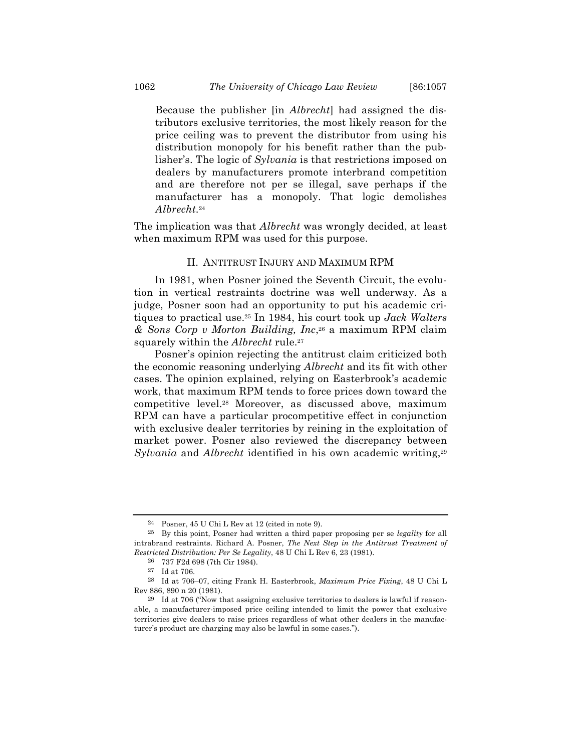Because the publisher [in *Albrecht*] had assigned the distributors exclusive territories, the most likely reason for the price ceiling was to prevent the distributor from using his distribution monopoly for his benefit rather than the publisher's. The logic of *Sylvania* is that restrictions imposed on dealers by manufacturers promote interbrand competition and are therefore not per se illegal, save perhaps if the manufacturer has a monopoly. That logic demolishes *Albrecht*.24

The implication was that *Albrecht* was wrongly decided, at least when maximum RPM was used for this purpose.

#### II. ANTITRUST INJURY AND MAXIMUM RPM

In 1981, when Posner joined the Seventh Circuit, the evolution in vertical restraints doctrine was well underway. As a judge, Posner soon had an opportunity to put his academic critiques to practical use.25 In 1984, his court took up *Jack Walters & Sons Corp v Morton Building, Inc*,26 a maximum RPM claim squarely within the *Albrecht* rule.27

Posner's opinion rejecting the antitrust claim criticized both the economic reasoning underlying *Albrecht* and its fit with other cases. The opinion explained, relying on Easterbrook's academic work, that maximum RPM tends to force prices down toward the competitive level.28 Moreover, as discussed above, maximum RPM can have a particular procompetitive effect in conjunction with exclusive dealer territories by reining in the exploitation of market power. Posner also reviewed the discrepancy between Sylvania and *Albrecht* identified in his own academic writing,<sup>29</sup>

<sup>24</sup> Posner, 45 U Chi L Rev at 12 (cited in note 9).

<sup>25</sup> By this point, Posner had written a third paper proposing per se *legality* for all intrabrand restraints. Richard A. Posner, *The Next Step in the Antitrust Treatment of Restricted Distribution: Per Se Legality*, 48 U Chi L Rev 6, 23 (1981).

<sup>26</sup> 737 F2d 698 (7th Cir 1984).

<sup>27</sup> Id at 706.

<sup>28</sup> Id at 706–07, citing Frank H. Easterbrook, *Maximum Price Fixing*, 48 U Chi L Rev 886, 890 n 20 (1981).

<sup>29</sup> Id at 706 ("Now that assigning exclusive territories to dealers is lawful if reasonable, a manufacturer-imposed price ceiling intended to limit the power that exclusive territories give dealers to raise prices regardless of what other dealers in the manufacturer's product are charging may also be lawful in some cases.").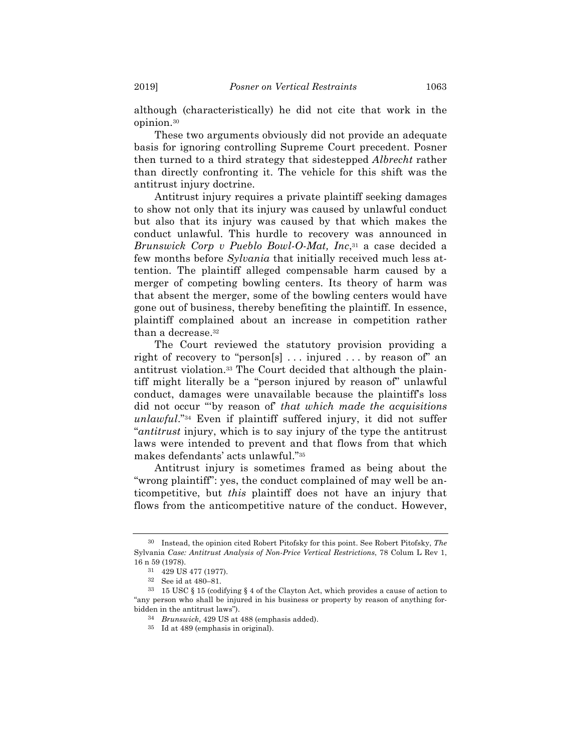although (characteristically) he did not cite that work in the opinion.30

These two arguments obviously did not provide an adequate basis for ignoring controlling Supreme Court precedent. Posner then turned to a third strategy that sidestepped *Albrecht* rather than directly confronting it. The vehicle for this shift was the antitrust injury doctrine.

Antitrust injury requires a private plaintiff seeking damages to show not only that its injury was caused by unlawful conduct but also that its injury was caused by that which makes the conduct unlawful. This hurdle to recovery was announced in *Brunswick Corp v Pueblo Bowl-O-Mat, Inc*,<sup>31</sup> a case decided a few months before *Sylvania* that initially received much less attention. The plaintiff alleged compensable harm caused by a merger of competing bowling centers. Its theory of harm was that absent the merger, some of the bowling centers would have gone out of business, thereby benefiting the plaintiff. In essence, plaintiff complained about an increase in competition rather than a decrease.32

The Court reviewed the statutory provision providing a right of recovery to "person[s] . . . injured . . . by reason of" an antitrust violation.33 The Court decided that although the plaintiff might literally be a "person injured by reason of" unlawful conduct, damages were unavailable because the plaintiff's loss did not occur "'by reason of' *that which made the acquisitions unlawful*."34 Even if plaintiff suffered injury, it did not suffer "*antitrust* injury, which is to say injury of the type the antitrust laws were intended to prevent and that flows from that which makes defendants' acts unlawful."35

Antitrust injury is sometimes framed as being about the "wrong plaintiff": yes, the conduct complained of may well be anticompetitive, but *this* plaintiff does not have an injury that flows from the anticompetitive nature of the conduct. However,

<sup>30</sup> Instead, the opinion cited Robert Pitofsky for this point. See Robert Pitofsky, *The*  Sylvania *Case: Antitrust Analysis of Non-Price Vertical Restrictions*, 78 Colum L Rev 1, 16 n 59 (1978).

<sup>31</sup> 429 US 477 (1977).

<sup>32</sup> See id at 480–81.

<sup>33</sup> 15 USC § 15 (codifying § 4 of the Clayton Act, which provides a cause of action to "any person who shall be injured in his business or property by reason of anything forbidden in the antitrust laws").

<sup>34</sup> *Brunswick*, 429 US at 488 (emphasis added).

<sup>35</sup> Id at 489 (emphasis in original).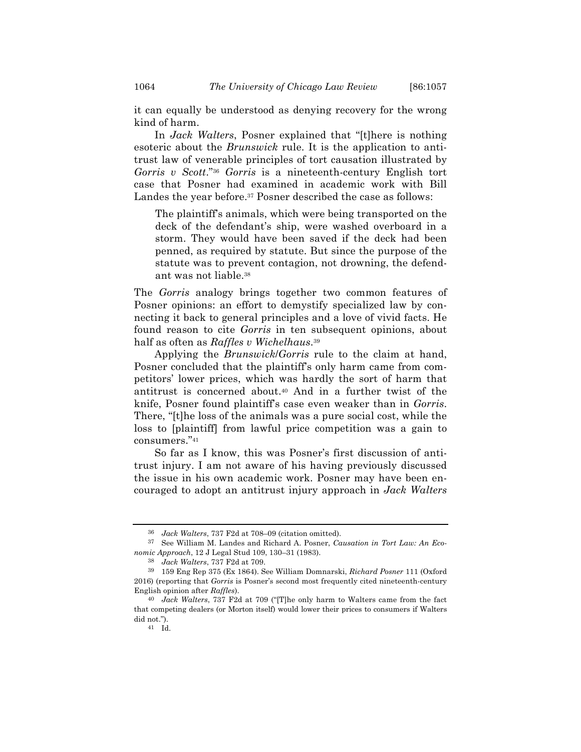it can equally be understood as denying recovery for the wrong kind of harm.

In *Jack Walters*, Posner explained that "[t]here is nothing esoteric about the *Brunswick* rule. It is the application to antitrust law of venerable principles of tort causation illustrated by *Gorris v Scott*."36 *Gorris* is a nineteenth-century English tort case that Posner had examined in academic work with Bill Landes the year before.37 Posner described the case as follows:

The plaintiff's animals, which were being transported on the deck of the defendant's ship, were washed overboard in a storm. They would have been saved if the deck had been penned, as required by statute. But since the purpose of the statute was to prevent contagion, not drowning, the defendant was not liable.38

The *Gorris* analogy brings together two common features of Posner opinions: an effort to demystify specialized law by connecting it back to general principles and a love of vivid facts. He found reason to cite *Gorris* in ten subsequent opinions, about half as often as *Raffles v Wichelhaus*.39

Applying the *Brunswick*/*Gorris* rule to the claim at hand, Posner concluded that the plaintiff's only harm came from competitors' lower prices, which was hardly the sort of harm that antitrust is concerned about.40 And in a further twist of the knife, Posner found plaintiff's case even weaker than in *Gorris*. There, "[t]he loss of the animals was a pure social cost, while the loss to [plaintiff] from lawful price competition was a gain to consumers."41

So far as I know, this was Posner's first discussion of antitrust injury. I am not aware of his having previously discussed the issue in his own academic work. Posner may have been encouraged to adopt an antitrust injury approach in *Jack Walters*

<sup>36</sup> *Jack Walters*, 737 F2d at 708–09 (citation omitted).

<sup>37</sup> See William M. Landes and Richard A. Posner, *Causation in Tort Law: An Economic Approach*, 12 J Legal Stud 109, 130–31 (1983).

<sup>38</sup> *Jack Walters*, 737 F2d at 709.

<sup>39</sup> 159 Eng Rep 375 (Ex 1864). See William Domnarski, *Richard Posner* 111 (Oxford 2016) (reporting that *Gorris* is Posner's second most frequently cited nineteenth-century English opinion after *Raffles*).

<sup>40</sup> *Jack Walters*, 737 F2d at 709 ("[T]he only harm to Walters came from the fact that competing dealers (or Morton itself) would lower their prices to consumers if Walters did not.").

<sup>41</sup> Id.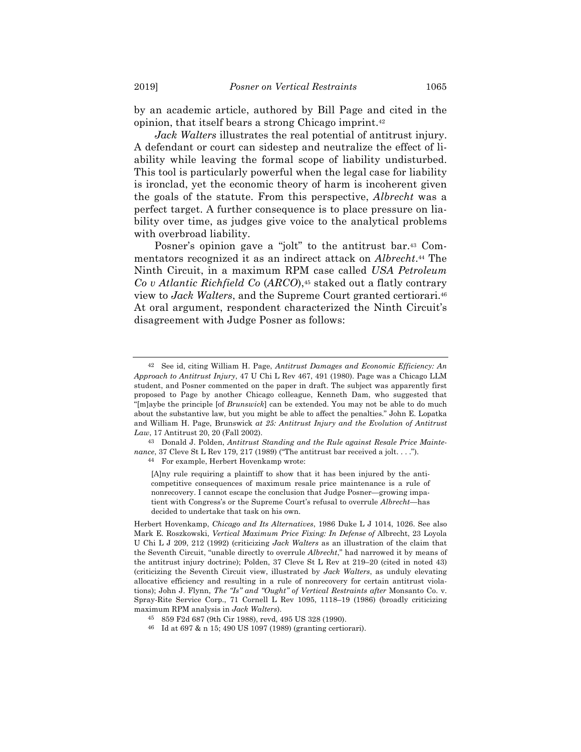by an academic article, authored by Bill Page and cited in the opinion, that itself bears a strong Chicago imprint.42

*Jack Walters* illustrates the real potential of antitrust injury. A defendant or court can sidestep and neutralize the effect of liability while leaving the formal scope of liability undisturbed. This tool is particularly powerful when the legal case for liability is ironclad, yet the economic theory of harm is incoherent given the goals of the statute. From this perspective, *Albrecht* was a perfect target. A further consequence is to place pressure on liability over time, as judges give voice to the analytical problems with overbroad liability.

Posner's opinion gave a "jolt" to the antitrust bar.43 Commentators recognized it as an indirect attack on *Albrecht*.44 The Ninth Circuit, in a maximum RPM case called *USA Petroleum Co v Atlantic Richfield Co* (*ARCO*),45 staked out a flatly contrary view to *Jack Walters*, and the Supreme Court granted certiorari.46 At oral argument, respondent characterized the Ninth Circuit's disagreement with Judge Posner as follows:

46 Id at 697 & n 15; 490 US 1097 (1989) (granting certiorari).

<sup>42</sup> See id, citing William H. Page, *Antitrust Damages and Economic Efficiency: An Approach to Antitrust Injury*, 47 U Chi L Rev 467, 491 (1980). Page was a Chicago LLM student, and Posner commented on the paper in draft. The subject was apparently first proposed to Page by another Chicago colleague, Kenneth Dam, who suggested that "[m]aybe the principle [of *Brunswick*] can be extended. You may not be able to do much about the substantive law, but you might be able to affect the penalties." John E. Lopatka and William H. Page, Brunswick *at 25: Antitrust Injury and the Evolution of Antitrust Law*, 17 Antitrust 20, 20 (Fall 2002).

<sup>43</sup> Donald J. Polden, *Antitrust Standing and the Rule against Resale Price Maintenance*, 37 Cleve St L Rev 179, 217 (1989) ("The antitrust bar received a jolt. . . .").

<sup>44</sup> For example, Herbert Hovenkamp wrote:

<sup>[</sup>A]ny rule requiring a plaintiff to show that it has been injured by the anticompetitive consequences of maximum resale price maintenance is a rule of nonrecovery. I cannot escape the conclusion that Judge Posner—growing impatient with Congress's or the Supreme Court's refusal to overrule *Albrecht*—has decided to undertake that task on his own.

Herbert Hovenkamp, *Chicago and Its Alternatives*, 1986 Duke L J 1014, 1026. See also Mark E. Roszkowski, *Vertical Maximum Price Fixing: In Defense of* Albrecht, 23 Loyola U Chi L J 209, 212 (1992) (criticizing *Jack Walters* as an illustration of the claim that the Seventh Circuit, "unable directly to overrule *Albrecht*," had narrowed it by means of the antitrust injury doctrine); Polden, 37 Cleve St L Rev at 219–20 (cited in noted 43) (criticizing the Seventh Circuit view, illustrated by *Jack Walters*, as unduly elevating allocative efficiency and resulting in a rule of nonrecovery for certain antitrust violations); John J. Flynn, *The "Is" and "Ought" of Vertical Restraints after* Monsanto Co. v. Spray-Rite Service Corp., 71 Cornell L Rev 1095, 1118–19 (1986) (broadly criticizing maximum RPM analysis in *Jack Walters*).

<sup>45</sup> 859 F2d 687 (9th Cir 1988), revd, 495 US 328 (1990).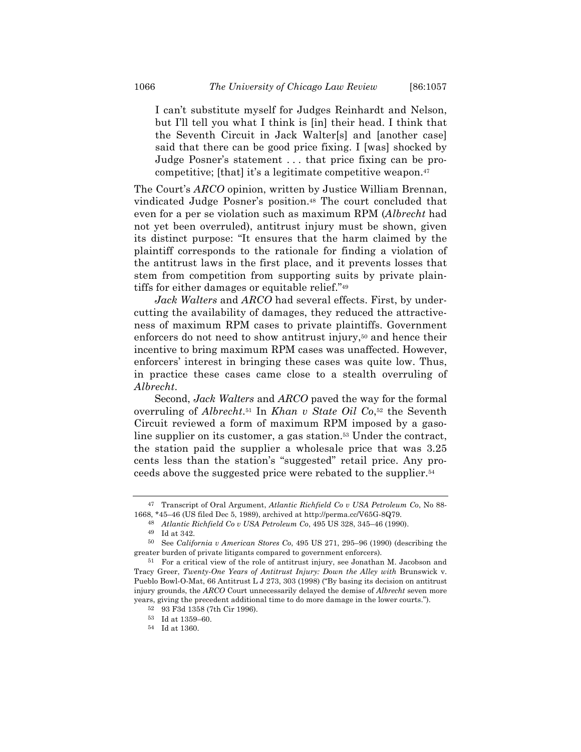I can't substitute myself for Judges Reinhardt and Nelson, but I'll tell you what I think is [in] their head. I think that the Seventh Circuit in Jack Walter[s] and [another case] said that there can be good price fixing. I [was] shocked by Judge Posner's statement . . . that price fixing can be procompetitive; [that] it's a legitimate competitive weapon.47

The Court's *ARCO* opinion, written by Justice William Brennan, vindicated Judge Posner's position.48 The court concluded that even for a per se violation such as maximum RPM (*Albrecht* had not yet been overruled), antitrust injury must be shown, given its distinct purpose: "It ensures that the harm claimed by the plaintiff corresponds to the rationale for finding a violation of the antitrust laws in the first place, and it prevents losses that stem from competition from supporting suits by private plaintiffs for either damages or equitable relief."49

*Jack Walters* and *ARCO* had several effects. First, by undercutting the availability of damages, they reduced the attractiveness of maximum RPM cases to private plaintiffs. Government enforcers do not need to show antitrust injury,<sup>50</sup> and hence their incentive to bring maximum RPM cases was unaffected. However, enforcers' interest in bringing these cases was quite low. Thus, in practice these cases came close to a stealth overruling of *Albrecht*.

Second, *Jack Walters* and *ARCO* paved the way for the formal overruling of *Albrecht*.51 In *Khan v State Oil Co*,52 the Seventh Circuit reviewed a form of maximum RPM imposed by a gasoline supplier on its customer, a gas station.53 Under the contract, the station paid the supplier a wholesale price that was 3.25 cents less than the station's "suggested" retail price. Any proceeds above the suggested price were rebated to the supplier.54

<sup>47</sup> Transcript of Oral Argument, *Atlantic Richfield Co v USA Petroleum Co*, No 88-

<sup>1668, \*45–46 (</sup>US filed Dec 5, 1989), archived at http://perma.cc/V65G-8Q79.

<sup>48</sup> *Atlantic Richfield Co v USA Petroleum Co*, 495 US 328, 345–46 (1990).

<sup>49</sup> Id at 342.

<sup>50</sup> See *California v American Stores Co*, 495 US 271, 295–96 (1990) (describing the greater burden of private litigants compared to government enforcers).

<sup>51</sup> For a critical view of the role of antitrust injury, see Jonathan M. Jacobson and Tracy Greer, *Twenty-One Years of Antitrust Injury: Down the Alley with* Brunswick v. Pueblo Bowl-O-Mat, 66 Antitrust L J 273, 303 (1998) ("By basing its decision on antitrust injury grounds, the *ARCO* Court unnecessarily delayed the demise of *Albrecht* seven more years, giving the precedent additional time to do more damage in the lower courts.").

<sup>52</sup> 93 F3d 1358 (7th Cir 1996).

<sup>53</sup> Id at 1359–60.

<sup>54</sup> Id at 1360.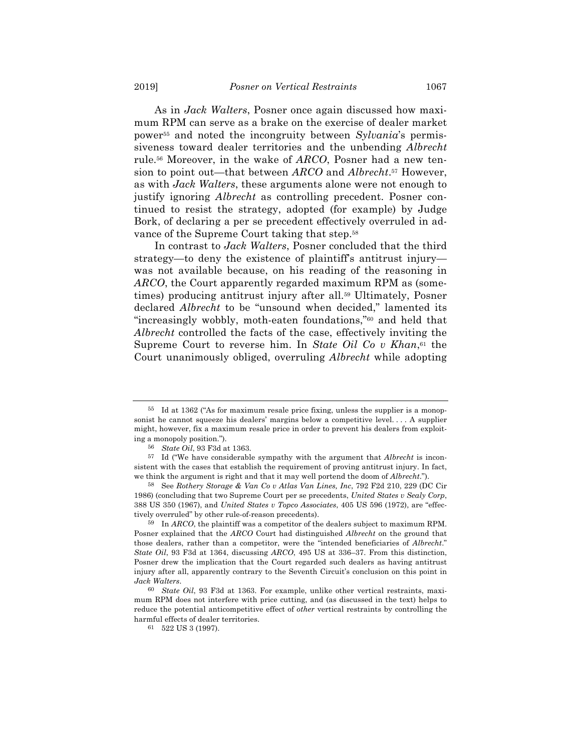As in *Jack Walters*, Posner once again discussed how maximum RPM can serve as a brake on the exercise of dealer market power55 and noted the incongruity between *Sylvania*'s permissiveness toward dealer territories and the unbending *Albrecht* rule.56 Moreover, in the wake of *ARCO*, Posner had a new tension to point out—that between *ARCO* and *Albrecht*.57 However, as with *Jack Walters*, these arguments alone were not enough to justify ignoring *Albrecht* as controlling precedent. Posner continued to resist the strategy, adopted (for example) by Judge Bork, of declaring a per se precedent effectively overruled in advance of the Supreme Court taking that step.58

In contrast to *Jack Walters*, Posner concluded that the third strategy—to deny the existence of plaintiff's antitrust injury was not available because, on his reading of the reasoning in *ARCO*, the Court apparently regarded maximum RPM as (sometimes) producing antitrust injury after all.59 Ultimately, Posner declared *Albrecht* to be "unsound when decided," lamented its "increasingly wobbly, moth-eaten foundations,"60 and held that *Albrecht* controlled the facts of the case, effectively inviting the Supreme Court to reverse him. In *State Oil Co v Khan*,<sup>61</sup> the Court unanimously obliged, overruling *Albrecht* while adopting

<sup>55</sup> Id at 1362 ("As for maximum resale price fixing, unless the supplier is a monopsonist he cannot squeeze his dealers' margins below a competitive level. . . . A supplier might, however, fix a maximum resale price in order to prevent his dealers from exploiting a monopoly position.").

<sup>56</sup> *State Oil*, 93 F3d at 1363.

<sup>57</sup> Id ("We have considerable sympathy with the argument that *Albrecht* is inconsistent with the cases that establish the requirement of proving antitrust injury. In fact, we think the argument is right and that it may well portend the doom of *Albrecht*.").

<sup>58</sup> See *Rothery Storage & Van Co v Atlas Van Lines, Inc*, 792 F2d 210, 229 (DC Cir 1986) (concluding that two Supreme Court per se precedents, *United States v Sealy Corp*, 388 US 350 (1967), and *United States v Topco Associates*, 405 US 596 (1972), are "effectively overruled" by other rule-of-reason precedents).

<sup>59</sup> In *ARCO*, the plaintiff was a competitor of the dealers subject to maximum RPM. Posner explained that the *ARCO* Court had distinguished *Albrecht* on the ground that those dealers, rather than a competitor, were the "intended beneficiaries of *Albrecht*." *State Oil*, 93 F3d at 1364, discussing *ARCO*, 495 US at 336–37. From this distinction, Posner drew the implication that the Court regarded such dealers as having antitrust injury after all, apparently contrary to the Seventh Circuit's conclusion on this point in *Jack Walters*.

<sup>60</sup> *State Oil*, 93 F3d at 1363. For example, unlike other vertical restraints, maximum RPM does not interfere with price cutting, and (as discussed in the text) helps to reduce the potential anticompetitive effect of *other* vertical restraints by controlling the harmful effects of dealer territories.

<sup>61</sup> 522 US 3 (1997).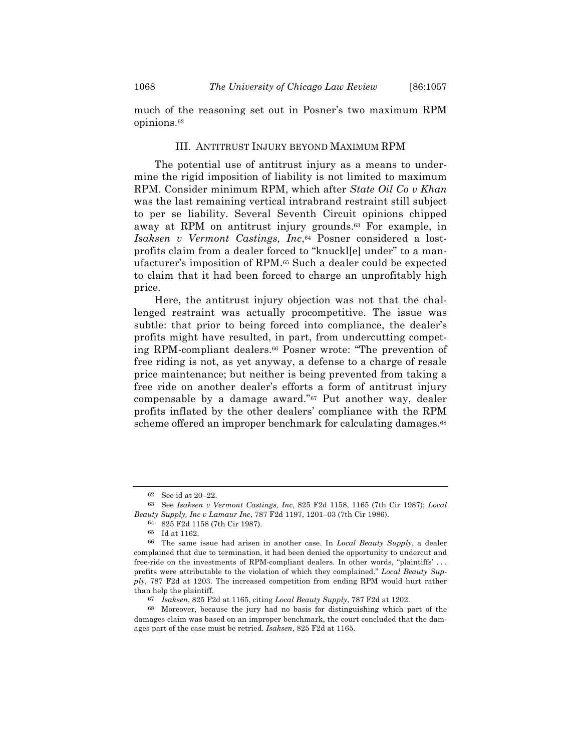much of the reasoning set out in Posner's two maximum RPM opinions.62

#### III. ANTITRUST INJURY BEYOND MAXIMUM RPM

The potential use of antitrust injury as a means to undermine the rigid imposition of liability is not limited to maximum RPM. Consider minimum RPM, which after *State Oil Co v Khan* was the last remaining vertical intrabrand restraint still subject to per se liability. Several Seventh Circuit opinions chipped away at RPM on antitrust injury grounds.63 For example, in *Isaksen v Vermont Castings, Inc*,64 Posner considered a lostprofits claim from a dealer forced to "knuckl[e] under" to a manufacturer's imposition of RPM.65 Such a dealer could be expected to claim that it had been forced to charge an unprofitably high price.

Here, the antitrust injury objection was not that the challenged restraint was actually procompetitive. The issue was subtle: that prior to being forced into compliance, the dealer's profits might have resulted, in part, from undercutting competing RPM-compliant dealers.66 Posner wrote: "The prevention of free riding is not, as yet anyway, a defense to a charge of resale price maintenance; but neither is being prevented from taking a free ride on another dealer's efforts a form of antitrust injury compensable by a damage award."67 Put another way, dealer profits inflated by the other dealers' compliance with the RPM scheme offered an improper benchmark for calculating damages.<sup>68</sup>

<sup>62</sup> See id at 20–22.

<sup>63</sup> See *Isaksen v Vermont Castings, Inc*, 825 F2d 1158, 1165 (7th Cir 1987); *Local Beauty Supply, Inc v Lamaur Inc*, 787 F2d 1197, 1201–03 (7th Cir 1986).

<sup>64</sup> 825 F2d 1158 (7th Cir 1987).

<sup>65</sup> Id at 1162.

<sup>66</sup> The same issue had arisen in another case. In *Local Beauty Supply*, a dealer complained that due to termination, it had been denied the opportunity to undercut and free-ride on the investments of RPM-compliant dealers. In other words, "plaintiffs' . . . profits were attributable to the violation of which they complained." *Local Beauty Supply*, 787 F2d at 1203. The increased competition from ending RPM would hurt rather than help the plaintiff.

<sup>67</sup> *Isaksen*, 825 F2d at 1165, citing *Local Beauty Supply*, 787 F2d at 1202.

<sup>68</sup> Moreover, because the jury had no basis for distinguishing which part of the damages claim was based on an improper benchmark, the court concluded that the damages part of the case must be retried. *Isaksen*, 825 F2d at 1165.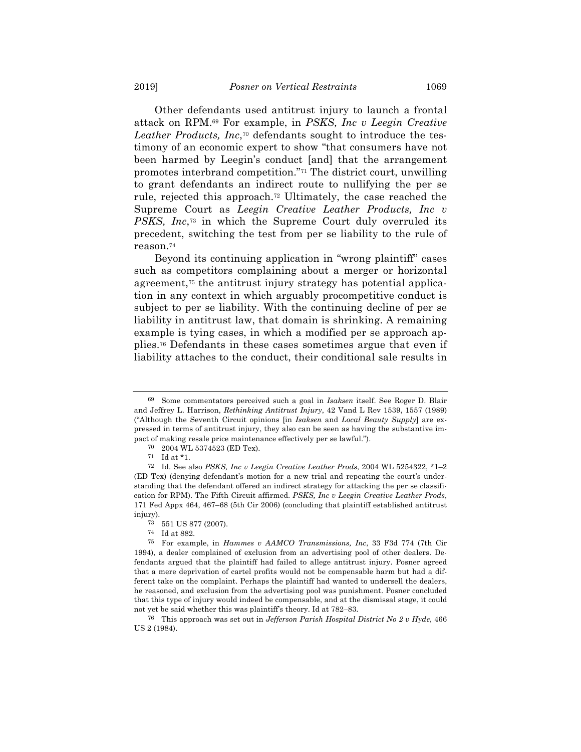Other defendants used antitrust injury to launch a frontal attack on RPM.69 For example, in *PSKS, Inc v Leegin Creative Leather Products, Inc*,70 defendants sought to introduce the testimony of an economic expert to show "that consumers have not been harmed by Leegin's conduct [and] that the arrangement promotes interbrand competition."71 The district court, unwilling to grant defendants an indirect route to nullifying the per se rule, rejected this approach.72 Ultimately, the case reached the Supreme Court as *Leegin Creative Leather Products, Inc v PSKS, Inc*,73 in which the Supreme Court duly overruled its precedent, switching the test from per se liability to the rule of reason.74

Beyond its continuing application in "wrong plaintiff" cases such as competitors complaining about a merger or horizontal agreement,75 the antitrust injury strategy has potential application in any context in which arguably procompetitive conduct is subject to per se liability. With the continuing decline of per se liability in antitrust law, that domain is shrinking. A remaining example is tying cases, in which a modified per se approach applies.76 Defendants in these cases sometimes argue that even if liability attaches to the conduct, their conditional sale results in

<sup>69</sup> Some commentators perceived such a goal in *Isaksen* itself. See Roger D. Blair and Jeffrey L. Harrison, *Rethinking Antitrust Injury*, 42 Vand L Rev 1539, 1557 (1989) ("Although the Seventh Circuit opinions [in *Isaksen* and *Local Beauty Supply*] are expressed in terms of antitrust injury, they also can be seen as having the substantive impact of making resale price maintenance effectively per se lawful.").

<sup>70</sup> 2004 WL 5374523 (ED Tex).

 $71$  Id at  $^\star1.$ 

<sup>72</sup> Id. See also *PSKS, Inc v Leegin Creative Leather Prods*, 2004 WL 5254322, \*1–2 (ED Tex) (denying defendant's motion for a new trial and repeating the court's understanding that the defendant offered an indirect strategy for attacking the per se classification for RPM). The Fifth Circuit affirmed. *PSKS, Inc v Leegin Creative Leather Prods*, 171 Fed Appx 464, 467–68 (5th Cir 2006) (concluding that plaintiff established antitrust injury).

<sup>73</sup> 551 US 877 (2007).

<sup>74</sup> Id at 882.

<sup>75</sup> For example, in *Hammes v AAMCO Transmissions, Inc*, 33 F3d 774 (7th Cir 1994), a dealer complained of exclusion from an advertising pool of other dealers. Defendants argued that the plaintiff had failed to allege antitrust injury. Posner agreed that a mere deprivation of cartel profits would not be compensable harm but had a different take on the complaint. Perhaps the plaintiff had wanted to undersell the dealers, he reasoned, and exclusion from the advertising pool was punishment. Posner concluded that this type of injury would indeed be compensable, and at the dismissal stage, it could not yet be said whether this was plaintiff's theory. Id at 782–83.

<sup>76</sup> This approach was set out in *Jefferson Parish Hospital District No 2 v Hyde*, 466 US 2 (1984).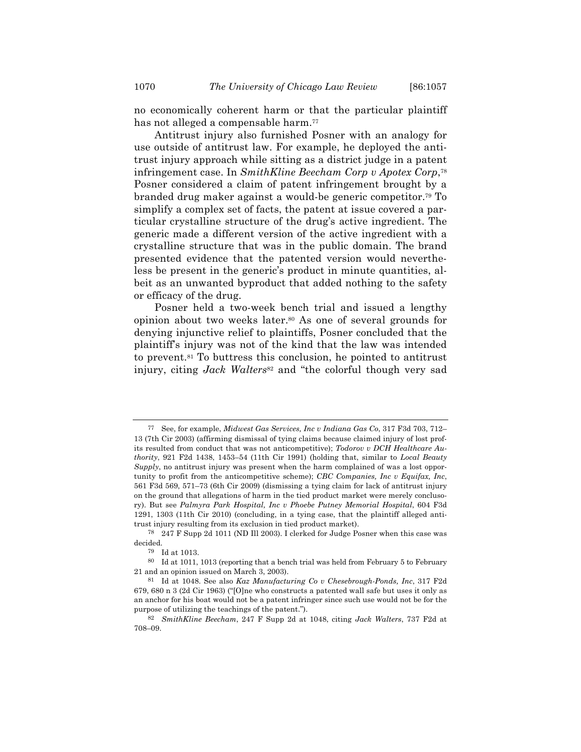no economically coherent harm or that the particular plaintiff has not alleged a compensable harm.<sup>77</sup>

Antitrust injury also furnished Posner with an analogy for use outside of antitrust law. For example, he deployed the antitrust injury approach while sitting as a district judge in a patent infringement case. In *SmithKline Beecham Corp v Apotex Corp*,78 Posner considered a claim of patent infringement brought by a branded drug maker against a would-be generic competitor.79 To simplify a complex set of facts, the patent at issue covered a particular crystalline structure of the drug's active ingredient. The generic made a different version of the active ingredient with a crystalline structure that was in the public domain. The brand presented evidence that the patented version would nevertheless be present in the generic's product in minute quantities, albeit as an unwanted byproduct that added nothing to the safety or efficacy of the drug.

Posner held a two-week bench trial and issued a lengthy opinion about two weeks later.80 As one of several grounds for denying injunctive relief to plaintiffs, Posner concluded that the plaintiff's injury was not of the kind that the law was intended to prevent.81 To buttress this conclusion, he pointed to antitrust injury, citing *Jack Walters*<sup>82</sup> and "the colorful though very sad

<sup>77</sup> See, for example, *Midwest Gas Services, Inc v Indiana Gas Co*, 317 F3d 703, 712– 13 (7th Cir 2003) (affirming dismissal of tying claims because claimed injury of lost profits resulted from conduct that was not anticompetitive); *Todorov v DCH Healthcare Authority*, 921 F2d 1438, 1453–54 (11th Cir 1991) (holding that, similar to *Local Beauty Supply*, no antitrust injury was present when the harm complained of was a lost opportunity to profit from the anticompetitive scheme); *CBC Companies, Inc v Equifax, Inc*, 561 F3d 569, 571–73 (6th Cir 2009) (dismissing a tying claim for lack of antitrust injury on the ground that allegations of harm in the tied product market were merely conclusory). But see *Palmyra Park Hospital, Inc v Phoebe Putney Memorial Hospital*, 604 F3d 1291, 1303 (11th Cir 2010) (concluding, in a tying case, that the plaintiff alleged antitrust injury resulting from its exclusion in tied product market).

<sup>78</sup> 247 F Supp 2d 1011 (ND Ill 2003). I clerked for Judge Posner when this case was decided.

<sup>79</sup> Id at 1013.

<sup>80</sup> Id at 1011, 1013 (reporting that a bench trial was held from February 5 to February 21 and an opinion issued on March 3, 2003).

<sup>81</sup> Id at 1048. See also *Kaz Manufacturing Co v Chesebrough-Ponds, Inc*, 317 F2d 679, 680 n 3 (2d Cir 1963) ("[O]ne who constructs a patented wall safe but uses it only as an anchor for his boat would not be a patent infringer since such use would not be for the purpose of utilizing the teachings of the patent.").

<sup>82</sup> *SmithKline Beecham*, 247 F Supp 2d at 1048, citing *Jack Walters*, 737 F2d at 708–09.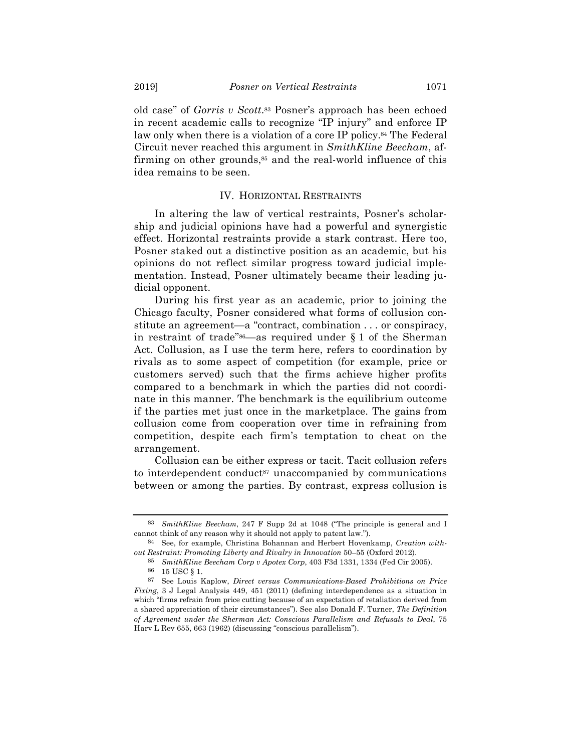old case" of *Gorris v Scott*.83 Posner's approach has been echoed in recent academic calls to recognize "IP injury" and enforce IP law only when there is a violation of a core IP policy.<sup>84</sup> The Federal Circuit never reached this argument in *SmithKline Beecham*, affirming on other grounds,<sup>85</sup> and the real-world influence of this idea remains to be seen.

## IV. HORIZONTAL RESTRAINTS

In altering the law of vertical restraints, Posner's scholarship and judicial opinions have had a powerful and synergistic effect. Horizontal restraints provide a stark contrast. Here too, Posner staked out a distinctive position as an academic, but his opinions do not reflect similar progress toward judicial implementation. Instead, Posner ultimately became their leading judicial opponent.

During his first year as an academic, prior to joining the Chicago faculty, Posner considered what forms of collusion constitute an agreement—a "contract, combination . . . or conspiracy, in restraint of trade" $86$ —as required under § 1 of the Sherman Act. Collusion, as I use the term here, refers to coordination by rivals as to some aspect of competition (for example, price or customers served) such that the firms achieve higher profits compared to a benchmark in which the parties did not coordinate in this manner. The benchmark is the equilibrium outcome if the parties met just once in the marketplace. The gains from collusion come from cooperation over time in refraining from competition, despite each firm's temptation to cheat on the arrangement.

Collusion can be either express or tacit. Tacit collusion refers to interdependent conduct<sup>87</sup> unaccompanied by communications between or among the parties. By contrast, express collusion is

<sup>83</sup> *SmithKline Beecham*, 247 F Supp 2d at 1048 ("The principle is general and I cannot think of any reason why it should not apply to patent law.").

<sup>84</sup> See, for example, Christina Bohannan and Herbert Hovenkamp, *Creation without Restraint: Promoting Liberty and Rivalry in Innovation* 50–55 (Oxford 2012).

<sup>85</sup> *SmithKline Beecham Corp v Apotex Corp*, 403 F3d 1331, 1334 (Fed Cir 2005).

<sup>86</sup> 15 USC § 1.

<sup>87</sup> See Louis Kaplow, *Direct versus Communications-Based Prohibitions on Price Fixing*, 3 J Legal Analysis 449, 451 (2011) (defining interdependence as a situation in which "firms refrain from price cutting because of an expectation of retaliation derived from a shared appreciation of their circumstances"). See also Donald F. Turner, *The Definition of Agreement under the Sherman Act: Conscious Parallelism and Refusals to Deal*, 75 Harv L Rev 655, 663 (1962) (discussing "conscious parallelism").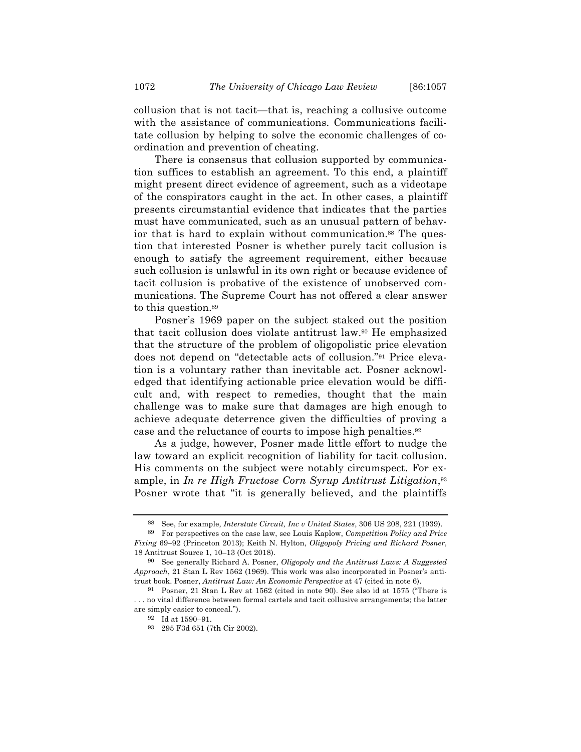collusion that is not tacit—that is, reaching a collusive outcome with the assistance of communications. Communications facilitate collusion by helping to solve the economic challenges of coordination and prevention of cheating.

There is consensus that collusion supported by communication suffices to establish an agreement. To this end, a plaintiff might present direct evidence of agreement, such as a videotape of the conspirators caught in the act. In other cases, a plaintiff presents circumstantial evidence that indicates that the parties must have communicated, such as an unusual pattern of behavior that is hard to explain without communication.<sup>88</sup> The question that interested Posner is whether purely tacit collusion is enough to satisfy the agreement requirement, either because such collusion is unlawful in its own right or because evidence of tacit collusion is probative of the existence of unobserved communications. The Supreme Court has not offered a clear answer to this question.89

Posner's 1969 paper on the subject staked out the position that tacit collusion does violate antitrust law.90 He emphasized that the structure of the problem of oligopolistic price elevation does not depend on "detectable acts of collusion."91 Price elevation is a voluntary rather than inevitable act. Posner acknowledged that identifying actionable price elevation would be difficult and, with respect to remedies, thought that the main challenge was to make sure that damages are high enough to achieve adequate deterrence given the difficulties of proving a case and the reluctance of courts to impose high penalties.92

As a judge, however, Posner made little effort to nudge the law toward an explicit recognition of liability for tacit collusion. His comments on the subject were notably circumspect. For example, in *In re High Fructose Corn Syrup Antitrust Litigation*,93 Posner wrote that "it is generally believed, and the plaintiffs

<sup>88</sup> See, for example, *Interstate Circuit, Inc v United States*, 306 US 208, 221 (1939).

<sup>89</sup> For perspectives on the case law, see Louis Kaplow, *Competition Policy and Price Fixing* 69–92 (Princeton 2013); Keith N. Hylton, *Oligopoly Pricing and Richard Posner*, 18 Antitrust Source 1, 10–13 (Oct 2018).

<sup>90</sup> See generally Richard A. Posner, *Oligopoly and the Antitrust Laws: A Suggested Approach*, 21 Stan L Rev 1562 (1969). This work was also incorporated in Posner's antitrust book. Posner, *Antitrust Law: An Economic Perspective* at 47 (cited in note 6).

<sup>91</sup> Posner, 21 Stan L Rev at 1562 (cited in note 90). See also id at 1575 ("There is . . . no vital difference between formal cartels and tacit collusive arrangements; the latter are simply easier to conceal.").

<sup>92</sup> Id at 1590–91.

<sup>93</sup> 295 F3d 651 (7th Cir 2002).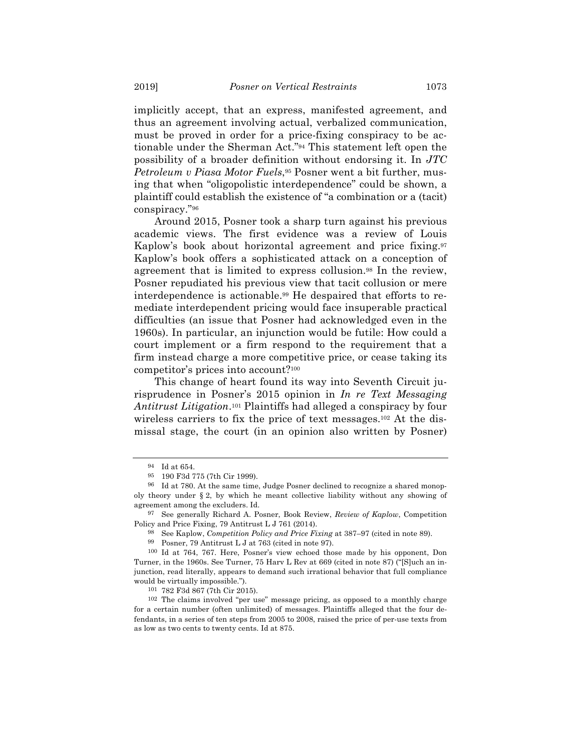implicitly accept, that an express, manifested agreement, and thus an agreement involving actual, verbalized communication, must be proved in order for a price-fixing conspiracy to be actionable under the Sherman Act."94 This statement left open the possibility of a broader definition without endorsing it. In *JTC Petroleum v Piasa Motor Fuels*,95 Posner went a bit further, musing that when "oligopolistic interdependence" could be shown, a plaintiff could establish the existence of "a combination or a (tacit) conspiracy."96

Around 2015, Posner took a sharp turn against his previous academic views. The first evidence was a review of Louis Kaplow's book about horizontal agreement and price fixing.97 Kaplow's book offers a sophisticated attack on a conception of agreement that is limited to express collusion.98 In the review, Posner repudiated his previous view that tacit collusion or mere interdependence is actionable.99 He despaired that efforts to remediate interdependent pricing would face insuperable practical difficulties (an issue that Posner had acknowledged even in the 1960s). In particular, an injunction would be futile: How could a court implement or a firm respond to the requirement that a firm instead charge a more competitive price, or cease taking its competitor's prices into account?100

This change of heart found its way into Seventh Circuit jurisprudence in Posner's 2015 opinion in *In re Text Messaging Antitrust Litigation*.101 Plaintiffs had alleged a conspiracy by four wireless carriers to fix the price of text messages.102 At the dismissal stage, the court (in an opinion also written by Posner)

<sup>94</sup> Id at 654.

<sup>95</sup> 190 F3d 775 (7th Cir 1999).

<sup>96</sup> Id at 780. At the same time, Judge Posner declined to recognize a shared monopoly theory under § 2, by which he meant collective liability without any showing of agreement among the excluders. Id.

<sup>97</sup> See generally Richard A. Posner, Book Review, *Review of Kaplow*, Competition Policy and Price Fixing, 79 Antitrust L J 761 (2014).

<sup>98</sup> See Kaplow, *Competition Policy and Price Fixing* at 387–97 (cited in note 89).

<sup>99</sup> Posner, 79 Antitrust L J at 763 (cited in note 97).

<sup>100</sup> Id at 764, 767. Here, Posner's view echoed those made by his opponent, Don Turner, in the 1960s. See Turner, 75 Harv L Rev at 669 (cited in note 87) ("[S]uch an injunction, read literally, appears to demand such irrational behavior that full compliance would be virtually impossible.").

<sup>101</sup> 782 F3d 867 (7th Cir 2015).

<sup>102</sup> The claims involved "per use" message pricing, as opposed to a monthly charge for a certain number (often unlimited) of messages. Plaintiffs alleged that the four defendants, in a series of ten steps from 2005 to 2008, raised the price of per-use texts from as low as two cents to twenty cents. Id at 875.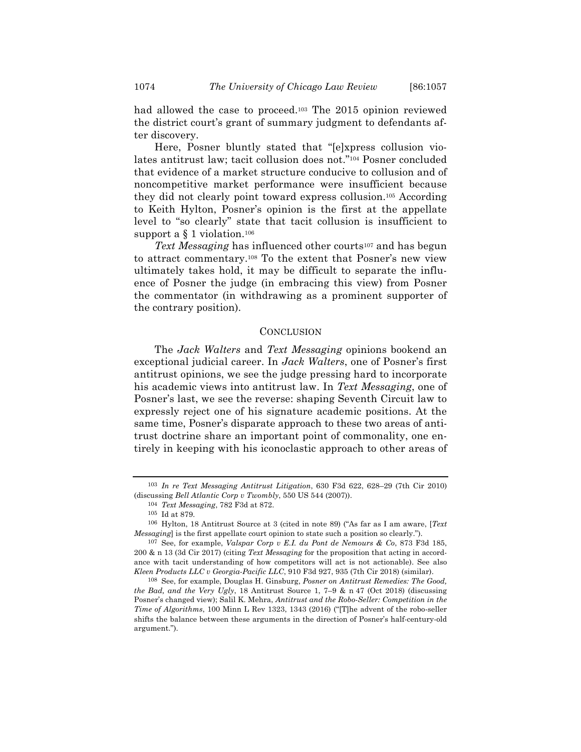had allowed the case to proceed.<sup>103</sup> The 2015 opinion reviewed the district court's grant of summary judgment to defendants after discovery.

Here, Posner bluntly stated that "[e]xpress collusion violates antitrust law; tacit collusion does not."104 Posner concluded that evidence of a market structure conducive to collusion and of noncompetitive market performance were insufficient because they did not clearly point toward express collusion.105 According to Keith Hylton, Posner's opinion is the first at the appellate level to "so clearly" state that tacit collusion is insufficient to support a § 1 violation.106

*Text Messaging* has influenced other courts<sup>107</sup> and has begun to attract commentary.108 To the extent that Posner's new view ultimately takes hold, it may be difficult to separate the influence of Posner the judge (in embracing this view) from Posner the commentator (in withdrawing as a prominent supporter of the contrary position).

### **CONCLUSION**

The *Jack Walters* and *Text Messaging* opinions bookend an exceptional judicial career. In *Jack Walters*, one of Posner's first antitrust opinions, we see the judge pressing hard to incorporate his academic views into antitrust law. In *Text Messaging*, one of Posner's last, we see the reverse: shaping Seventh Circuit law to expressly reject one of his signature academic positions. At the same time, Posner's disparate approach to these two areas of antitrust doctrine share an important point of commonality, one entirely in keeping with his iconoclastic approach to other areas of

<sup>103</sup> *In re Text Messaging Antitrust Litigation*, 630 F3d 622, 628–29 (7th Cir 2010) (discussing *Bell Atlantic Corp v Twombly*, 550 US 544 (2007)).

<sup>104</sup> *Text Messaging*, 782 F3d at 872.

<sup>105</sup> Id at 879.

<sup>106</sup> Hylton, 18 Antitrust Source at 3 (cited in note 89) ("As far as I am aware, [*Text Messaging*] is the first appellate court opinion to state such a position so clearly.").

<sup>107</sup> See, for example, *Valspar Corp v E.I. du Pont de Nemours & Co*, 873 F3d 185, 200 & n 13 (3d Cir 2017) (citing *Text Messaging* for the proposition that acting in accordance with tacit understanding of how competitors will act is not actionable). See also *Kleen Products LLC v Georgia-Pacific LLC*, 910 F3d 927, 935 (7th Cir 2018) (similar).

<sup>108</sup> See, for example, Douglas H. Ginsburg, *Posner on Antitrust Remedies: The Good, the Bad, and the Very Ugly*, 18 Antitrust Source 1, 7–9 & n 47 (Oct 2018) (discussing Posner's changed view); Salil K. Mehra, *Antitrust and the Robo-Seller: Competition in the Time of Algorithms*, 100 Minn L Rev 1323, 1343 (2016) ("[T]he advent of the robo-seller shifts the balance between these arguments in the direction of Posner's half-century-old argument.").